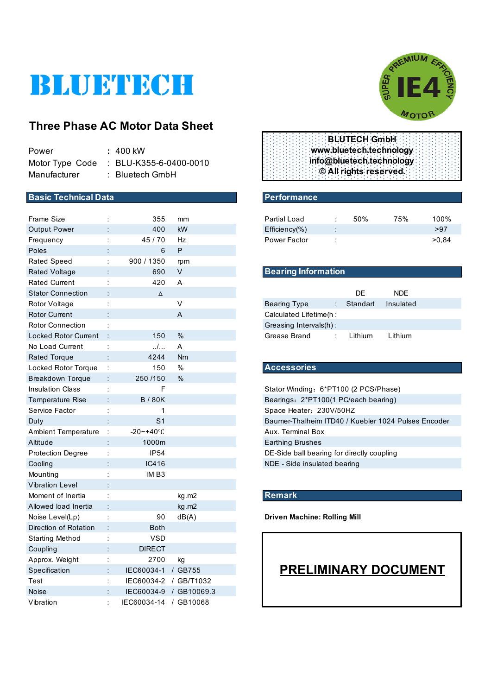# BLUETECH

## **Three Phase AC Motor Data Sheet**

| Power        | : 400 kW                               |
|--------------|----------------------------------------|
|              | Motor Type Code : BLU-K355-6-0400-0010 |
| Manufacturer | $:$ Bluetech GmbH                      |

#### **Basic Technical Data** Performance

| <b>Frame Size</b>           |                | 355                   | mm                     | <b>Partial Load</b>                                 |                      | 50%      | 75%                         | 100%  |
|-----------------------------|----------------|-----------------------|------------------------|-----------------------------------------------------|----------------------|----------|-----------------------------|-------|
| <b>Output Power</b>         |                | 400                   | kW                     | $Efficiency(\% )$                                   |                      |          |                             | >97   |
| Frequency                   | t              | 45 / 70               | Hz                     | Power Factor                                        |                      |          |                             | >0,84 |
| Poles                       |                | 6                     | P                      |                                                     |                      |          |                             |       |
| <b>Rated Speed</b>          | ÷              | 900 / 1350            | rpm                    |                                                     |                      |          |                             |       |
| <b>Rated Voltage</b>        |                | 690                   | $\vee$                 | <b>Bearing Information</b>                          |                      |          |                             |       |
| <b>Rated Current</b>        |                | 420                   | A                      |                                                     |                      |          |                             |       |
| <b>Stator Connection</b>    |                | $\Delta$              |                        |                                                     |                      | DE       | <b>NDE</b>                  |       |
| Rotor Voltage               |                |                       | V                      | <b>Bearing Type</b>                                 |                      | Standart | Insulated                   |       |
| <b>Rotor Current</b>        |                |                       | A                      | Calculated Lifetime(h :                             |                      |          |                             |       |
| <b>Rotor Connection</b>     |                |                       |                        | Greasing Intervals(h):                              |                      |          |                             |       |
| <b>Locked Rotor Current</b> |                | 150                   | $\%$                   | Grease Brand                                        | $\ddot{\phantom{a}}$ | Lithium  | Lithium                     |       |
| No Load Current             | ÷              | $\ldots$              | Α                      |                                                     |                      |          |                             |       |
| <b>Rated Torque</b>         |                | 4244                  | Nm                     |                                                     |                      |          |                             |       |
| Locked Rotor Torque         | ÷              | 150                   | $\%$                   | <b>Accessories</b>                                  |                      |          |                             |       |
| <b>Breakdown Torque</b>     |                | 250 /150              | $\%$                   |                                                     |                      |          |                             |       |
| <b>Insulation Class</b>     | $\ddot{\cdot}$ | F                     |                        | Stator Winding: 6*PT100 (2 PCS/Phase)               |                      |          |                             |       |
| <b>Temperature Rise</b>     |                | <b>B/80K</b>          |                        | Bearings: 2*PT100(1 PC/each bearing)                |                      |          |                             |       |
| Service Factor              | ÷              | 1                     |                        | Space Heater: 230V/50HZ                             |                      |          |                             |       |
| Duty                        |                | S <sub>1</sub>        |                        | Baumer-Thalheim ITD40 / Kuebler 1024 Pulses Encoder |                      |          |                             |       |
| <b>Ambient Temperature</b>  | ÷              | $-20 - +40$ °C        |                        | Aux. Terminal Box                                   |                      |          |                             |       |
| Altitude                    |                | 1000m                 |                        | <b>Earthing Brushes</b>                             |                      |          |                             |       |
| <b>Protection Degree</b>    | ÷              | IP54                  |                        | DE-Side ball bearing for directly coupling          |                      |          |                             |       |
| Cooling                     |                | IC416                 |                        | NDE - Side insulated bearing                        |                      |          |                             |       |
| Mounting                    |                | IM <sub>B3</sub>      |                        |                                                     |                      |          |                             |       |
| <b>Vibration Level</b>      |                |                       |                        |                                                     |                      |          |                             |       |
| Moment of Inertia           | $\ddot{\cdot}$ |                       | kg.m2                  | <b>Remark</b>                                       |                      |          |                             |       |
| Allowed load Inertia        |                |                       | kg.m2                  |                                                     |                      |          |                             |       |
| Noise Level(Lp)             | t              | 90                    | dB(A)                  | <b>Driven Machine: Rolling Mill</b>                 |                      |          |                             |       |
| Direction of Rotation       |                | <b>Both</b>           |                        |                                                     |                      |          |                             |       |
| <b>Starting Method</b>      |                | <b>VSD</b>            |                        |                                                     |                      |          |                             |       |
| Coupling                    |                | <b>DIRECT</b>         |                        |                                                     |                      |          |                             |       |
| Approx. Weight              |                | 2700                  | kg                     |                                                     |                      |          |                             |       |
| Specification               |                | IEC60034-1 / GB755    |                        |                                                     |                      |          | <b>PRELIMINARY DOCUMENT</b> |       |
| Test                        |                | IEC60034-2 / GB/T1032 |                        |                                                     |                      |          |                             |       |
| <b>Noise</b>                |                |                       | IEC60034-9 / GB10069.3 |                                                     |                      |          |                             |       |
| Vibration                   |                | IEC60034-14 / GB10068 |                        |                                                     |                      |          |                             |       |



|  |  |  | <b>BLUTECH GmbH</b> :    |  |  |
|--|--|--|--------------------------|--|--|
|  |  |  | www.bluetech.technology  |  |  |
|  |  |  | info@bluetech.technology |  |  |
|  |  |  | © All rights reserved.   |  |  |
|  |  |  |                          |  |  |

| Partial Load        |                      | 50% | 75% | 100%  |
|---------------------|----------------------|-----|-----|-------|
| $Efficiency(\% )$   | $\bullet$<br>$\cdot$ |     |     | >97   |
| <b>Power Factor</b> |                      |     |     | >0.84 |

#### **Bearing Information**

|                         | DF.      | NDF.      |  |
|-------------------------|----------|-----------|--|
| Bearing Type            | Standart | Insulated |  |
| Calculated Lifetime(h : |          |           |  |
| Greasing Intervals(h):  |          |           |  |
| Grease Brand            | Lithium  | Lithium   |  |

#### Locked Rotor Torque : 150 % **Accessories**

#### **Remark**

# **PRELIMINARY DOCUMENT**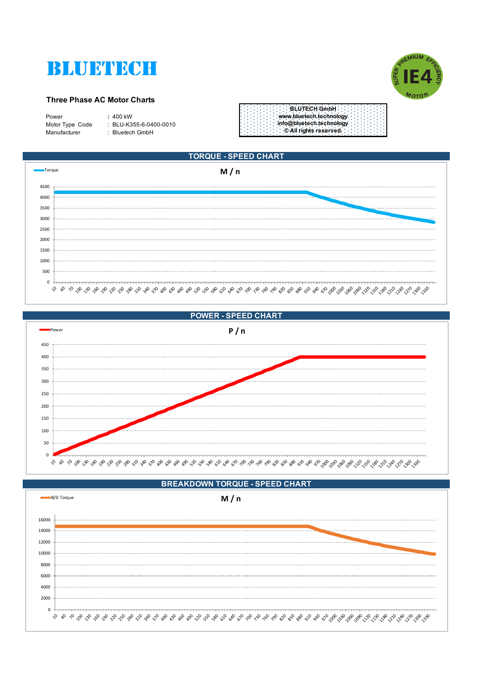



#### **Three Phase AC Motor Charts**

| Power           | $: 400$ kW                 |
|-----------------|----------------------------|
| Motor Type Code | $\pm$ BLU-K355-6-0400-0010 |
| Manufacturer    | : Bluetech GmbH            |
|                 |                            |









#### **BREAKDOWN TORQUE - SPEED CHART**